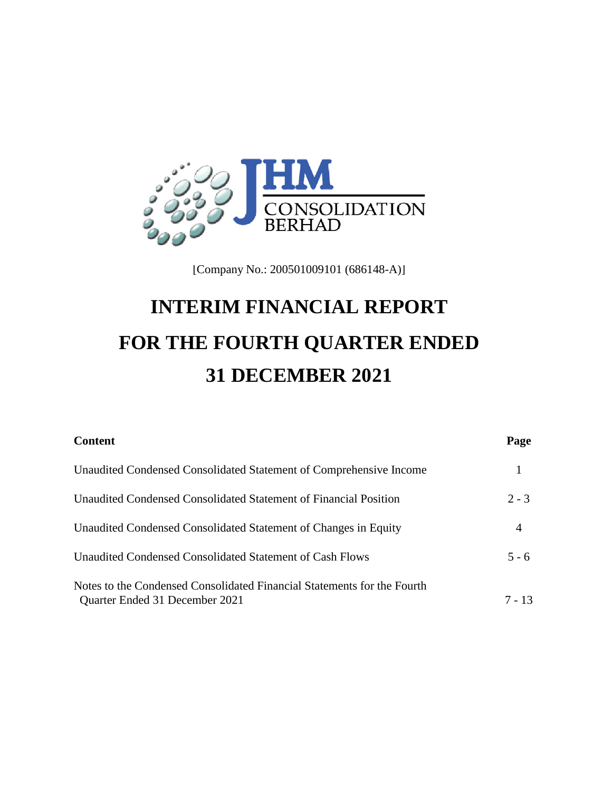

[Company No.: 200501009101 (686148-A)]

# **INTERIM FINANCIAL REPORT FOR THE FOURTH QUARTER ENDED 31 DECEMBER 2021**

| Page    |
|---------|
|         |
| $2 - 3$ |
| 4       |
| $5 - 6$ |
| 7 - 13  |
|         |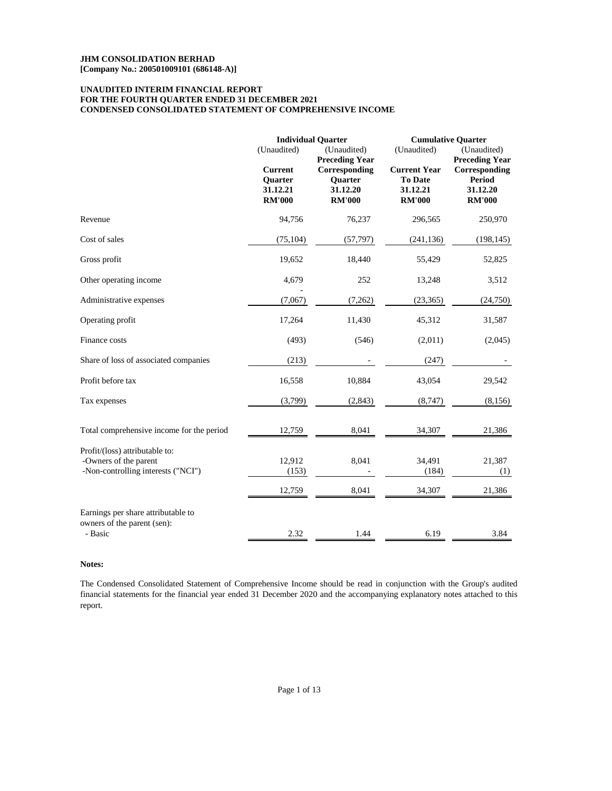# **FOR THE FOURTH QUARTER ENDED 31 DECEMBER 2021 CONDENSED CONSOLIDATED STATEMENT OF COMPREHENSIVE INCOME UNAUDITED INTERIM FINANCIAL REPORT**

|                                                                                               | (Unaudited)<br><b>Current</b><br>Quarter<br>31.12.21<br><b>RM'000</b> | <b>Individual Quarter</b><br>(Unaudited)<br><b>Preceding Year</b><br>Corresponding<br>Quarter<br>31.12.20<br><b>RM'000</b> | (Unaudited)<br><b>Current Year</b><br><b>To Date</b><br>31.12.21<br><b>RM'000</b> | <b>Cumulative Quarter</b><br>(Unaudited)<br><b>Preceding Year</b><br>Corresponding<br><b>Period</b><br>31.12.20<br><b>RM'000</b> |
|-----------------------------------------------------------------------------------------------|-----------------------------------------------------------------------|----------------------------------------------------------------------------------------------------------------------------|-----------------------------------------------------------------------------------|----------------------------------------------------------------------------------------------------------------------------------|
| Revenue                                                                                       | 94,756                                                                | 76,237                                                                                                                     | 296,565                                                                           | 250,970                                                                                                                          |
| Cost of sales                                                                                 | (75, 104)                                                             | (57, 797)                                                                                                                  | (241, 136)                                                                        | (198, 145)                                                                                                                       |
| Gross profit                                                                                  | 19,652                                                                | 18,440                                                                                                                     | 55,429                                                                            | 52,825                                                                                                                           |
| Other operating income                                                                        | 4,679                                                                 | 252                                                                                                                        | 13,248                                                                            | 3,512                                                                                                                            |
| Administrative expenses                                                                       | (7,067)                                                               | (7,262)                                                                                                                    | (23, 365)                                                                         | (24, 750)                                                                                                                        |
| Operating profit                                                                              | 17,264                                                                | 11,430                                                                                                                     | 45,312                                                                            | 31,587                                                                                                                           |
| Finance costs                                                                                 | (493)                                                                 | (546)                                                                                                                      | (2,011)                                                                           | (2,045)                                                                                                                          |
| Share of loss of associated companies                                                         | (213)                                                                 |                                                                                                                            | (247)                                                                             |                                                                                                                                  |
| Profit before tax                                                                             | 16,558                                                                | 10,884                                                                                                                     | 43,054                                                                            | 29,542                                                                                                                           |
| Tax expenses                                                                                  | (3,799)                                                               | (2,843)                                                                                                                    | (8, 747)                                                                          | (8,156)                                                                                                                          |
| Total comprehensive income for the period                                                     | 12,759                                                                | 8,041                                                                                                                      | 34,307                                                                            | 21,386                                                                                                                           |
| Profit/(loss) attributable to:<br>-Owners of the parent<br>-Non-controlling interests ("NCI") | 12,912<br>(153)<br>12,759                                             | 8,041<br>8,041                                                                                                             | 34,491<br>(184)<br>34,307                                                         | 21,387<br>(1)<br>21,386                                                                                                          |
| Earnings per share attributable to<br>owners of the parent (sen):<br>- Basic                  | 2.32                                                                  | 1.44                                                                                                                       | 6.19                                                                              | 3.84                                                                                                                             |

# **Notes:**

The Condensed Consolidated Statement of Comprehensive Income should be read in conjunction with the Group's audited financial statements for the financial year ended 31 December 2020 and the accompanying explanatory notes attached to this report.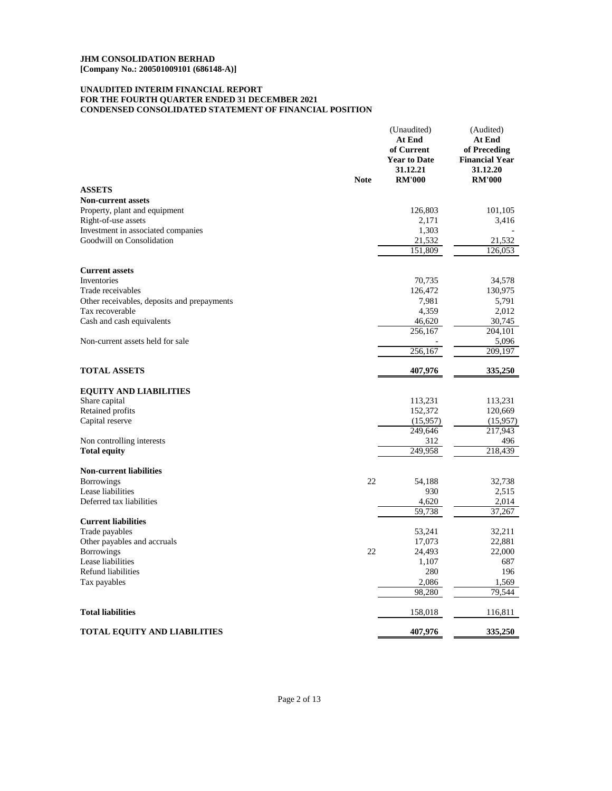# **CONDENSED CONSOLIDATED STATEMENT OF FINANCIAL POSITION UNAUDITED INTERIM FINANCIAL REPORT FOR THE FOURTH QUARTER ENDED 31 DECEMBER 2021**

|                                             | <b>Note</b> | (Unaudited)<br>At End<br>of Current<br><b>Year to Date</b><br>31.12.21<br><b>RM'000</b> | (Audited)<br>At End<br>of Preceding<br><b>Financial Year</b><br>31.12.20<br><b>RM'000</b> |
|---------------------------------------------|-------------|-----------------------------------------------------------------------------------------|-------------------------------------------------------------------------------------------|
| <b>ASSETS</b>                               |             |                                                                                         |                                                                                           |
| <b>Non-current assets</b>                   |             |                                                                                         |                                                                                           |
| Property, plant and equipment               |             | 126,803                                                                                 | 101,105                                                                                   |
| Right-of-use assets                         |             | 2,171                                                                                   | 3,416                                                                                     |
| Investment in associated companies          |             | 1,303                                                                                   |                                                                                           |
| Goodwill on Consolidation                   |             | 21,532                                                                                  | 21,532                                                                                    |
|                                             |             | 151,809                                                                                 | 126,053                                                                                   |
| <b>Current assets</b>                       |             |                                                                                         |                                                                                           |
| Inventories                                 |             | 70,735                                                                                  | 34,578                                                                                    |
| Trade receivables                           |             | 126,472                                                                                 | 130,975                                                                                   |
| Other receivables, deposits and prepayments |             | 7,981                                                                                   | 5,791                                                                                     |
| Tax recoverable                             |             | 4,359                                                                                   | 2,012                                                                                     |
| Cash and cash equivalents                   |             | 46,620                                                                                  | 30,745                                                                                    |
|                                             |             | 256,167                                                                                 | 204,101                                                                                   |
| Non-current assets held for sale            |             |                                                                                         | 5,096                                                                                     |
|                                             |             | 256,167                                                                                 | 209,197                                                                                   |
| <b>TOTAL ASSETS</b>                         |             | 407,976                                                                                 | 335,250                                                                                   |
|                                             |             |                                                                                         |                                                                                           |
| <b>EQUITY AND LIABILITIES</b>               |             |                                                                                         |                                                                                           |
| Share capital<br>Retained profits           |             | 113,231<br>152,372                                                                      | 113,231<br>120,669                                                                        |
| Capital reserve                             |             | (15,957)                                                                                | (15,957)                                                                                  |
|                                             |             | 249,646                                                                                 | 217,943                                                                                   |
| Non controlling interests                   |             | 312                                                                                     | 496                                                                                       |
| <b>Total equity</b>                         |             | 249,958                                                                                 | 218,439                                                                                   |
|                                             |             |                                                                                         |                                                                                           |
| <b>Non-current liabilities</b>              | 22          |                                                                                         |                                                                                           |
| <b>Borrowings</b><br>Lease liabilities      |             | 54,188<br>930                                                                           | 32,738<br>2.515                                                                           |
| Deferred tax liabilities                    |             | 4,620                                                                                   | 2,014                                                                                     |
|                                             |             | 59,738                                                                                  | 37,267                                                                                    |
| <b>Current liabilities</b>                  |             |                                                                                         |                                                                                           |
| Trade payables                              |             | 53,241                                                                                  | 32,211                                                                                    |
| Other payables and accruals                 |             | 17,073                                                                                  | 22,881                                                                                    |
| <b>Borrowings</b>                           | 22          | 24,493                                                                                  | 22,000                                                                                    |
| Lease liabilities                           |             | 1,107                                                                                   | 687                                                                                       |
| Refund liabilities                          |             | 280                                                                                     | 196                                                                                       |
| Tax payables                                |             | 2,086                                                                                   | 1,569                                                                                     |
|                                             |             | 98,280                                                                                  | 79,544                                                                                    |
| <b>Total liabilities</b>                    |             | 158,018                                                                                 | 116,811                                                                                   |
| <b>TOTAL EQUITY AND LIABILITIES</b>         |             | 407,976                                                                                 | 335,250                                                                                   |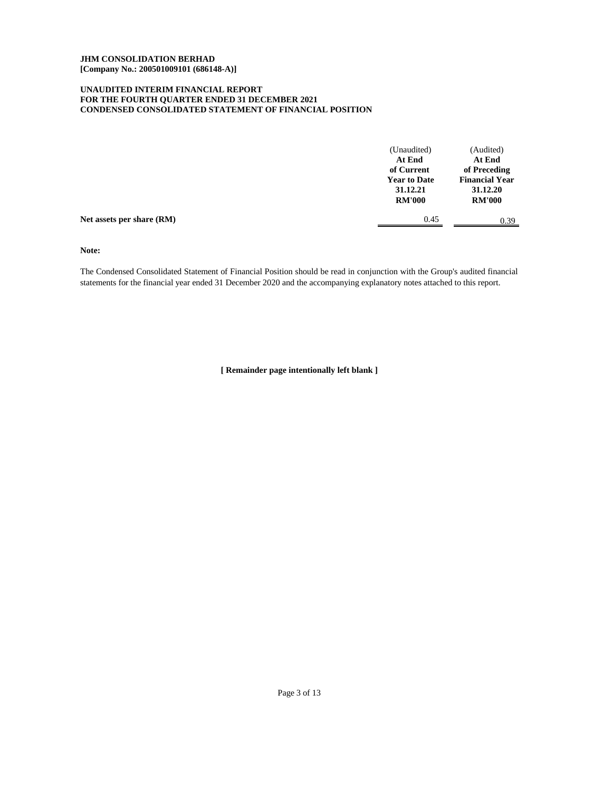# **CONDENSED CONSOLIDATED STATEMENT OF FINANCIAL POSITION UNAUDITED INTERIM FINANCIAL REPORT FOR THE FOURTH QUARTER ENDED 31 DECEMBER 2021**

|                           | (Unaudited)<br>At End<br>of Current<br><b>Year to Date</b><br>31.12.21<br><b>RM'000</b> | (Audited)<br>At End<br>of Preceding<br><b>Financial Year</b><br>31.12.20<br><b>RM'000</b> |
|---------------------------|-----------------------------------------------------------------------------------------|-------------------------------------------------------------------------------------------|
| Net assets per share (RM) | 0.45                                                                                    | 0.39                                                                                      |

**Note:**

The Condensed Consolidated Statement of Financial Position should be read in conjunction with the Group's audited financial statements for the financial year ended 31 December 2020 and the accompanying explanatory notes attached to this report.

**[ Remainder page intentionally left blank ]**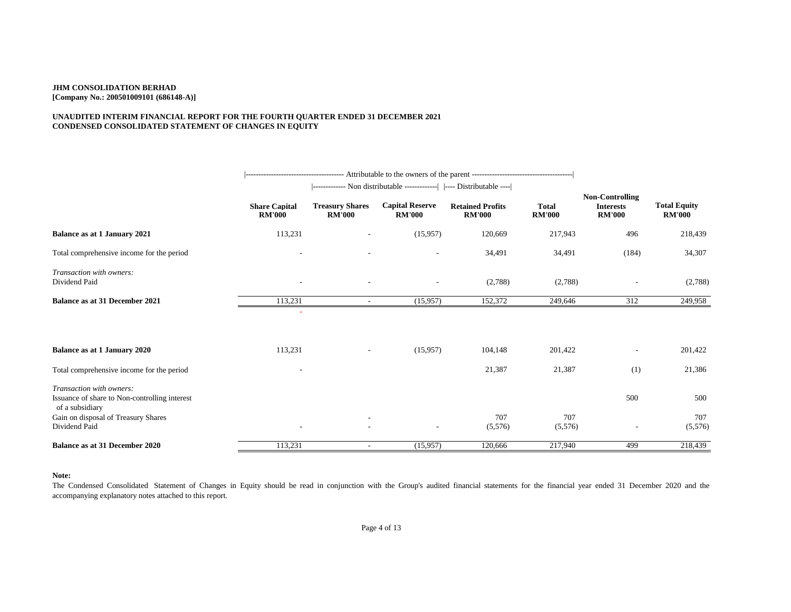# **UNAUDITED INTERIM FINANCIAL REPORT FOR THE FOURTH QUARTER ENDED 31 DECEMBER 2021 CONDENSED CONSOLIDATED STATEMENT OF CHANGES IN EQUITY**

|                                                                                                                                     |                                       | ------------- Non distributable -------------   ---- Distributable ---- |                                         |                                          |                               |                                                             |                                      |
|-------------------------------------------------------------------------------------------------------------------------------------|---------------------------------------|-------------------------------------------------------------------------|-----------------------------------------|------------------------------------------|-------------------------------|-------------------------------------------------------------|--------------------------------------|
|                                                                                                                                     | <b>Share Capital</b><br><b>RM'000</b> | <b>Treasury Shares</b><br><b>RM'000</b>                                 | <b>Capital Reserve</b><br><b>RM'000</b> | <b>Retained Profits</b><br><b>RM'000</b> | <b>Total</b><br><b>RM'000</b> | <b>Non-Controlling</b><br><b>Interests</b><br><b>RM'000</b> | <b>Total Equity</b><br><b>RM'000</b> |
| <b>Balance as at 1 January 2021</b>                                                                                                 | 113,231                               |                                                                         | (15,957)                                | 120,669                                  | 217,943                       | 496                                                         | 218,439                              |
| Total comprehensive income for the period                                                                                           |                                       |                                                                         |                                         | 34,491                                   | 34,491                        | (184)                                                       | 34,307                               |
| Transaction with owners:<br>Dividend Paid                                                                                           |                                       |                                                                         | $\overline{a}$                          | (2,788)                                  | (2,788)                       |                                                             | (2,788)                              |
| <b>Balance as at 31 December 2021</b>                                                                                               | 113,231                               | $\sim$                                                                  | (15,957)                                | 152,372                                  | 249,646                       | 312                                                         | 249,958                              |
| Balance as at 1 January 2020                                                                                                        | 113,231                               |                                                                         | (15,957)                                | 104,148                                  | 201,422                       | $\overline{\phantom{0}}$                                    | 201,422                              |
| Total comprehensive income for the period                                                                                           |                                       |                                                                         |                                         | 21,387                                   | 21,387                        | (1)                                                         | 21,386                               |
| Transaction with owners:<br>Issuance of share to Non-controlling interest<br>of a subsidiary<br>Gain on disposal of Treasury Shares |                                       |                                                                         |                                         | 707                                      | 707                           | 500                                                         | 500<br>707                           |
| Dividend Paid                                                                                                                       |                                       |                                                                         | $\overline{\phantom{0}}$                | (5,576)                                  | (5,576)                       |                                                             | (5,576)                              |
| <b>Balance as at 31 December 2020</b>                                                                                               | 113,231                               | ٠                                                                       | (15,957)                                | 120,666                                  | 217,940                       | 499                                                         | 218,439                              |

#### **Note:**

The Condensed Consolidated Statement of Changes in Equity should be read in conjunction with the Group's audited financial statements for the financial year ended 31 December 2020 and the accompanying explanatory notes attached to this report.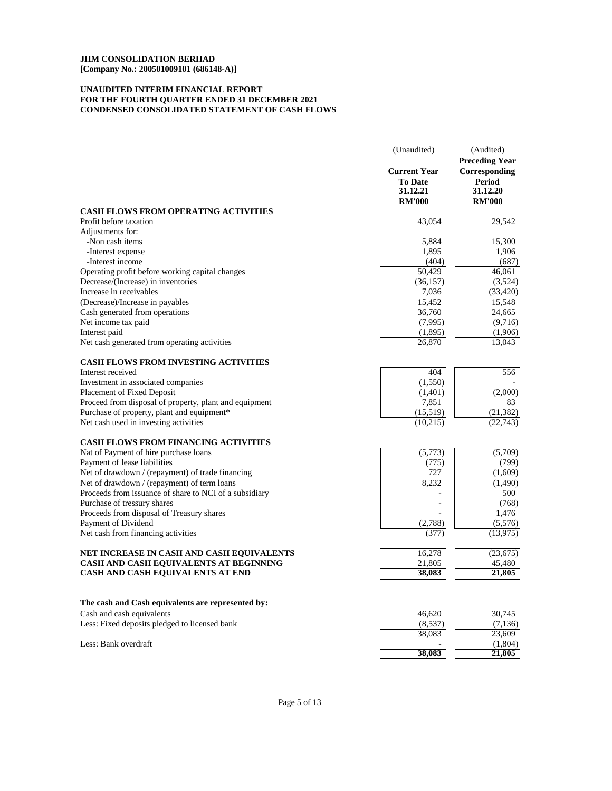# **UNAUDITED INTERIM FINANCIAL REPORT CONDENSED CONSOLIDATED STATEMENT OF CASH FLOWS FOR THE FOURTH QUARTER ENDED 31 DECEMBER 2021**

|                                                                            | (Unaudited)                                                        | (Audited)<br><b>Preceding Year</b>                          |
|----------------------------------------------------------------------------|--------------------------------------------------------------------|-------------------------------------------------------------|
|                                                                            | <b>Current Year</b><br><b>To Date</b><br>31.12.21<br><b>RM'000</b> | Corresponding<br><b>Period</b><br>31.12.20<br><b>RM'000</b> |
| <b>CASH FLOWS FROM OPERATING ACTIVITIES</b>                                |                                                                    |                                                             |
| Profit before taxation                                                     | 43,054                                                             | 29,542                                                      |
| Adjustments for:                                                           |                                                                    |                                                             |
| -Non cash items                                                            | 5,884                                                              | 15,300                                                      |
| -Interest expense                                                          | 1,895                                                              | 1,906                                                       |
| -Interest income                                                           | (404)                                                              | (687)                                                       |
| Operating profit before working capital changes                            | 50,429                                                             | 46,061                                                      |
| Decrease/(Increase) in inventories                                         | (36, 157)                                                          | (3,524)                                                     |
| Increase in receivables                                                    | 7,036                                                              | (33, 420)                                                   |
| (Decrease)/Increase in payables<br>Cash generated from operations          | 15,452                                                             | 15,548                                                      |
|                                                                            | 36,760                                                             | 24,665<br>(9,716)                                           |
| Net income tax paid<br>Interest paid                                       | (7,995)                                                            | (1,906)                                                     |
| Net cash generated from operating activities                               | (1,895)<br>26,870                                                  | 13,043                                                      |
|                                                                            |                                                                    |                                                             |
| <b>CASH FLOWS FROM INVESTING ACTIVITIES</b>                                |                                                                    |                                                             |
| Interest received                                                          | 404                                                                | 556                                                         |
| Investment in associated companies                                         | (1,550)                                                            |                                                             |
| Placement of Fixed Deposit                                                 | (1,401)                                                            | (2,000)                                                     |
| Proceed from disposal of property, plant and equipment                     | 7,851                                                              | 83                                                          |
| Purchase of property, plant and equipment*                                 | (15,519)                                                           | (21, 382)                                                   |
| Net cash used in investing activities                                      | (10,215)                                                           | (22, 743)                                                   |
| <b>CASH FLOWS FROM FINANCING ACTIVITIES</b>                                |                                                                    |                                                             |
| Nat of Payment of hire purchase loans                                      | (5,773)                                                            | (5,709)                                                     |
| Payment of lease liabilities                                               | (775)                                                              | (799)                                                       |
| Net of drawdown / (repayment) of trade financing                           | 727                                                                | (1,609)                                                     |
| Net of drawdown / (repayment) of term loans                                | 8,232                                                              | (1,490)                                                     |
| Proceeds from issuance of share to NCI of a subsidiary                     |                                                                    | 500                                                         |
| Purchase of tressury shares                                                |                                                                    | (768)                                                       |
| Proceeds from disposal of Treasury shares                                  |                                                                    | 1,476                                                       |
| Payment of Dividend                                                        | (2,788)                                                            | (5,576)                                                     |
| Net cash from financing activities                                         | (377)                                                              | (13, 975)                                                   |
| NET INCREASE IN CASH AND CASH EQUIVALENTS                                  | 16,278                                                             | (23, 675)                                                   |
| CASH AND CASH EQUIVALENTS AT BEGINNING                                     | 21,805                                                             | 45,480                                                      |
| CASH AND CASH EQUIVALENTS AT END                                           | 38.083                                                             | 21,805                                                      |
|                                                                            |                                                                    |                                                             |
| The cash and Cash equivalents are represented by:                          | 46,620                                                             | 30,745                                                      |
| Cash and cash equivalents<br>Less: Fixed deposits pledged to licensed bank |                                                                    |                                                             |
|                                                                            | (8,537)<br>38,083                                                  | (7, 136)<br>23,609                                          |
| Less: Bank overdraft                                                       |                                                                    |                                                             |
|                                                                            | 38,083                                                             | (1,804)<br>21,805                                           |
|                                                                            |                                                                    |                                                             |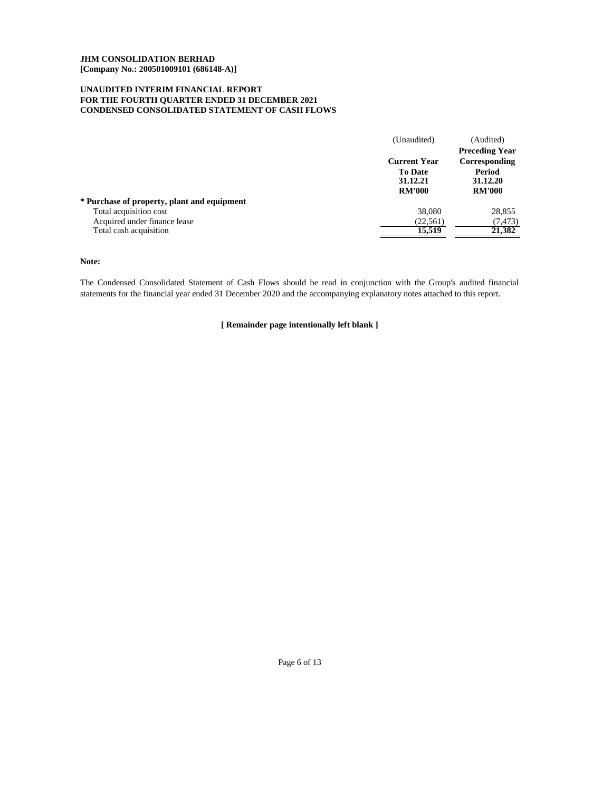# **UNAUDITED INTERIM FINANCIAL REPORT FOR THE FOURTH QUARTER ENDED 31 DECEMBER 2021 CONDENSED CONSOLIDATED STATEMENT OF CASH FLOWS**

|                                             | (Unaudited)                                                        | (Audited)                                                                     |
|---------------------------------------------|--------------------------------------------------------------------|-------------------------------------------------------------------------------|
|                                             | <b>Current Year</b><br><b>To Date</b><br>31.12.21<br><b>RM'000</b> | <b>Preceding Year</b><br>Corresponding<br>Period<br>31.12.20<br><b>RM'000</b> |
| * Purchase of property, plant and equipment |                                                                    |                                                                               |
| Total acquisition cost                      | 38,080                                                             | 28,855                                                                        |
| Acquired under finance lease                | (22, 561)                                                          | (7, 473)                                                                      |
| Total cash acquisition                      | 15.519                                                             | 21,382                                                                        |

**Note:**

The Condensed Consolidated Statement of Cash Flows should be read in conjunction with the Group's audited financial statements for the financial year ended 31 December 2020 and the accompanying explanatory notes attached to this report.

**[ Remainder page intentionally left blank ]**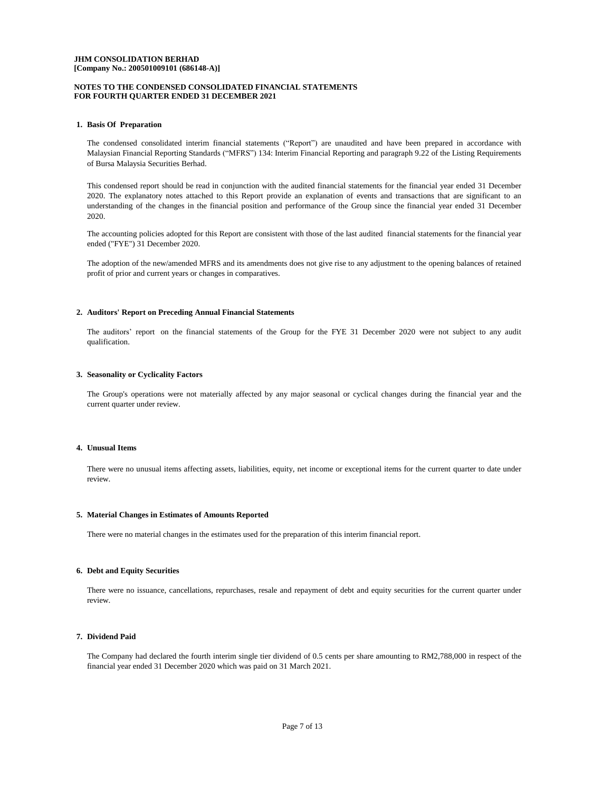## **NOTES TO THE CONDENSED CONSOLIDATED FINANCIAL STATEMENTS FOR FOURTH QUARTER ENDED 31 DECEMBER 2021**

#### **1. Basis Of Preparation**

The condensed consolidated interim financial statements ("Report") are unaudited and have been prepared in accordance with Malaysian Financial Reporting Standards ("MFRS") 134: Interim Financial Reporting and paragraph 9.22 of the Listing Requirements of Bursa Malaysia Securities Berhad.

This condensed report should be read in conjunction with the audited financial statements for the financial year ended 31 December 2020. The explanatory notes attached to this Report provide an explanation of events and transactions that are significant to an understanding of the changes in the financial position and performance of the Group since the financial year ended 31 December 2020.

The accounting policies adopted for this Report are consistent with those of the last audited financial statements for the financial year ended ("FYE") 31 December 2020.

The adoption of the new/amended MFRS and its amendments does not give rise to any adjustment to the opening balances of retained profit of prior and current years or changes in comparatives.

#### **2. Auditors' Report on Preceding Annual Financial Statements**

The auditors' report on the financial statements of the Group for the FYE 31 December 2020 were not subject to any audit qualification.

#### **3. Seasonality or Cyclicality Factors**

The Group's operations were not materially affected by any major seasonal or cyclical changes during the financial year and the current quarter under review.

#### **4. Unusual Items**

There were no unusual items affecting assets, liabilities, equity, net income or exceptional items for the current quarter to date under review.

#### **5. Material Changes in Estimates of Amounts Reported**

There were no material changes in the estimates used for the preparation of this interim financial report.

## **6. Debt and Equity Securities**

There were no issuance, cancellations, repurchases, resale and repayment of debt and equity securities for the current quarter under review.

## **7. Dividend Paid**

The Company had declared the fourth interim single tier dividend of 0.5 cents per share amounting to RM2,788,000 in respect of the financial year ended 31 December 2020 which was paid on 31 March 2021.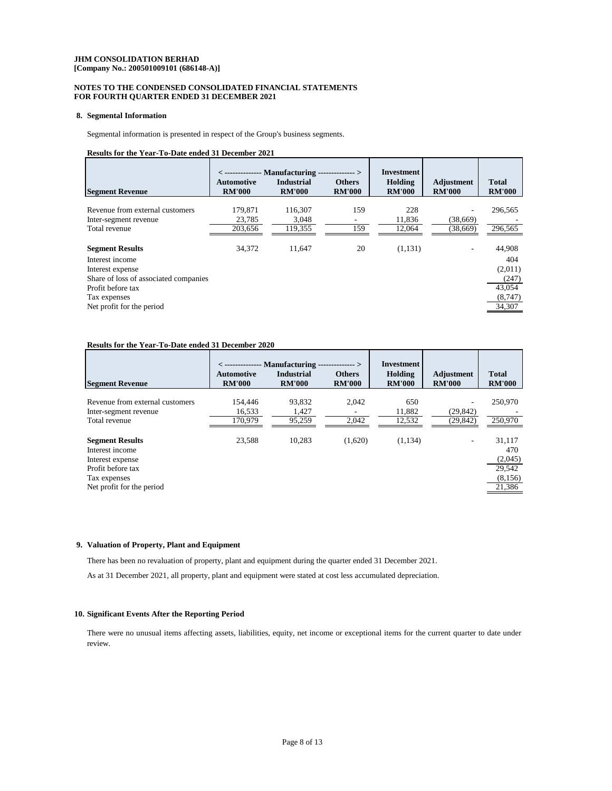## **NOTES TO THE CONDENSED CONSOLIDATED FINANCIAL STATEMENTS FOR FOURTH QUARTER ENDED 31 DECEMBER 2021**

#### **8. Segmental Information**

Segmental information is presented in respect of the Group's business segments.

# **Results for the Year-To-Date ended 31 December 2021**

| <b>Segment Revenue</b>                | Automotive<br><b>RM'000</b> | $\langle$ -------------- Manufacturing -<br><b>Industrial</b><br><b>RM'000</b> | -----------><br><b>Others</b><br><b>RM'000</b> | <b>Investment</b><br>Holding<br><b>RM'000</b> | Adjustment<br><b>RM'000</b> | <b>Total</b><br><b>RM'000</b> |
|---------------------------------------|-----------------------------|--------------------------------------------------------------------------------|------------------------------------------------|-----------------------------------------------|-----------------------------|-------------------------------|
|                                       |                             |                                                                                |                                                |                                               |                             |                               |
| Revenue from external customers       | 179.871                     | 116,307                                                                        | 159                                            | 228                                           |                             | 296,565                       |
| Inter-segment revenue                 | 23.785                      | 3.048                                                                          | ۰                                              | 11.836                                        | (38.669)                    |                               |
| Total revenue                         | 203,656                     | 119,355                                                                        | 159                                            | 12,064                                        | (38,669)                    | 296,565                       |
| <b>Segment Results</b>                | 34.372                      | 11.647                                                                         | 20                                             | (1,131)                                       | ۰                           | 44,908                        |
| Interest income                       |                             |                                                                                |                                                |                                               |                             | 404                           |
| Interest expense                      |                             |                                                                                |                                                |                                               |                             | (2,011)                       |
| Share of loss of associated companies |                             |                                                                                |                                                |                                               |                             | (247)                         |
| Profit before tax                     |                             |                                                                                |                                                |                                               |                             | 43,054                        |
| Tax expenses                          |                             |                                                                                |                                                |                                               |                             | (8,747)                       |
| Net profit for the period             |                             |                                                                                |                                                |                                               |                             | 34,307                        |
|                                       |                             |                                                                                |                                                |                                               |                             |                               |

# **Results for the Year-To-Date ended 31 December 2020**

|                                                                                                                                 |                                    | $\langle$ -------------- Manufacturing --------------> |                                | Investment               |                             |                                                         |
|---------------------------------------------------------------------------------------------------------------------------------|------------------------------------|--------------------------------------------------------|--------------------------------|--------------------------|-----------------------------|---------------------------------------------------------|
| <b>Segment Revenue</b>                                                                                                          | <b>Automotive</b><br><b>RM'000</b> | <b>Industrial</b><br><b>RM'000</b>                     | <b>Others</b><br><b>RM'000</b> | Holding<br><b>RM'000</b> | Adjustment<br><b>RM'000</b> | <b>Total</b><br><b>RM'000</b>                           |
| Revenue from external customers<br>Inter-segment revenue                                                                        | 154,446<br>16,533                  | 93.832<br>1,427                                        | 2.042                          | 650<br>11,882            | (29, 842)                   | 250,970                                                 |
| Total revenue                                                                                                                   | 170.979                            | 95,259                                                 | 2,042                          | 12,532                   | (29, 842)                   | 250,970                                                 |
| <b>Segment Results</b><br>Interest income<br>Interest expense<br>Profit before tax<br>Tax expenses<br>Net profit for the period | 23,588                             | 10,283                                                 | (1,620)                        | (1,134)                  | ٠.                          | 31,117<br>470<br>(2,045)<br>29,542<br>(8,156)<br>21,386 |

# **9. Valuation of Property, Plant and Equipment**

There has been no revaluation of property, plant and equipment during the quarter ended 31 December 2021.

As at 31 December 2021, all property, plant and equipment were stated at cost less accumulated depreciation.

# **10. Significant Events After the Reporting Period**

There were no unusual items affecting assets, liabilities, equity, net income or exceptional items for the current quarter to date under review.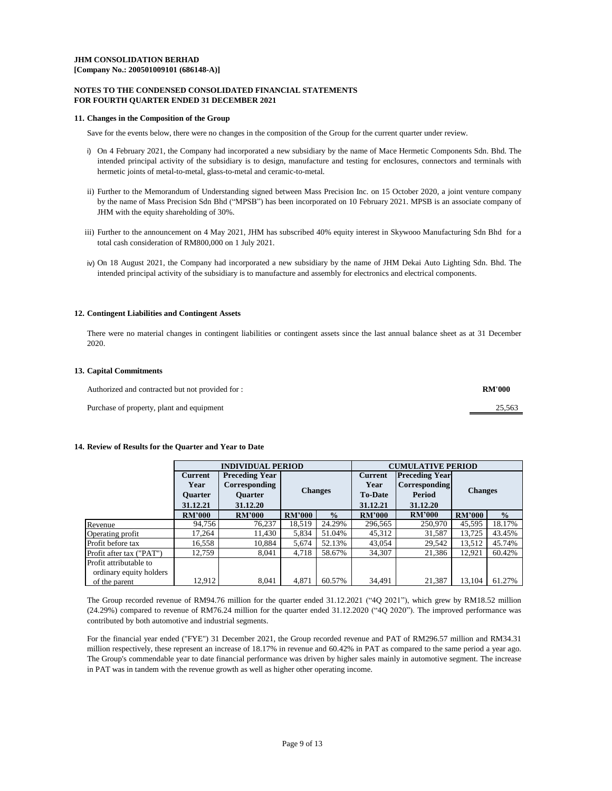## **NOTES TO THE CONDENSED CONSOLIDATED FINANCIAL STATEMENTS FOR FOURTH QUARTER ENDED 31 DECEMBER 2021**

#### **11. Changes in the Composition of the Group**

Save for the events below, there were no changes in the composition of the Group for the current quarter under review.

- i) On 4 February 2021, the Company had incorporated a new subsidiary by the name of Mace Hermetic Components Sdn. Bhd. The intended principal activity of the subsidiary is to design, manufacture and testing for enclosures, connectors and terminals with hermetic joints of metal-to-metal, glass-to-metal and ceramic-to-metal.
- ii) Further to the Memorandum of Understanding signed between Mass Precision Inc. on 15 October 2020, a joint venture company by the name of Mass Precision Sdn Bhd ("MPSB") has been incorporated on 10 February 2021. MPSB is an associate company of JHM with the equity shareholding of 30%.
- iii) Further to the announcement on 4 May 2021, JHM has subscribed 40% equity interest in Skywooo Manufacturing Sdn Bhd for a total cash consideration of RM800,000 on 1 July 2021.
- iv) On 18 August 2021, the Company had incorporated a new subsidiary by the name of JHM Dekai Auto Lighting Sdn. Bhd. The intended principal activity of the subsidiary is to manufacture and assembly for electronics and electrical components.

## **12. Contingent Liabilities and Contingent Assets**

There were no material changes in contingent liabilities or contingent assets since the last annual balance sheet as at 31 December 2020.

#### **13. Capital Commitments**

| Authorized and contracted but not provided for : | <b>RM'000</b> |
|--------------------------------------------------|---------------|
| Purchase of property, plant and equipment        | 25,563        |

#### **14. Review of Results for the Quarter and Year to Date**

|                          | <b>INDIVIDUAL PERIOD</b> |                       |                |               |               | <b>CUMULATIVE PERIOD</b> |                |               |                |  |
|--------------------------|--------------------------|-----------------------|----------------|---------------|---------------|--------------------------|----------------|---------------|----------------|--|
|                          | <b>Current</b>           | <b>Preceding Year</b> | <b>Current</b> |               |               | <b>Preceding Year</b>    |                |               |                |  |
|                          | Year                     | Corresponding         |                |               | Year          | <b>Corresponding</b>     |                |               |                |  |
|                          | <b>Ouarter</b>           | <b>Ouarter</b>        | <b>Changes</b> |               |               |                          | <b>To-Date</b> | Period        | <b>Changes</b> |  |
|                          | 31.12.21                 | 31.12.20              |                |               |               |                          | 31.12.21       | 31.12.20      |                |  |
|                          | <b>RM'000</b>            | <b>RM'000</b>         | <b>RM'000</b>  | $\frac{0}{0}$ | <b>RM'000</b> | <b>RM'000</b>            | <b>RM'000</b>  | $\frac{0}{0}$ |                |  |
| Revenue                  | 94,756                   | 76,237                | 18,519         | 24.29%        | 296,565       | 250,970                  | 45,595         | 18.17%        |                |  |
| Operating profit         | 17,264                   | 11,430                | 5,834          | 51.04%        | 45,312        | 31,587                   | 13,725         | 43.45%        |                |  |
| Profit before tax        | 16,558                   | 10,884                | 5,674          | 52.13%        | 43,054        | 29,542                   | 13,512         | 45.74%        |                |  |
| Profit after tax ("PAT") | 12.759                   | 8.041                 | 4,718          | 58.67%        | 34,307        | 21,386                   | 12.921         | 60.42%        |                |  |
| Profit attributable to   |                          |                       |                |               |               |                          |                |               |                |  |
| ordinary equity holders  |                          |                       |                |               |               |                          |                |               |                |  |
| of the parent            | 12.912                   | 8.041                 | 4.871          | 60.57%        | 34,491        | 21,387                   | 13,104         | 61.27%        |                |  |

The Group recorded revenue of RM94.76 million for the quarter ended 31.12.2021 ("4Q 2021"), which grew by RM18.52 million (24.29%) compared to revenue of RM76.24 million for the quarter ended 31.12.2020 ("4Q 2020"). The improved performance was contributed by both automotive and industrial segments.

For the financial year ended ("FYE") 31 December 2021, the Group recorded revenue and PAT of RM296.57 million and RM34.31 million respectively, these represent an increase of 18.17% in revenue and 60.42% in PAT as compared to the same period a year ago. The Group's commendable year to date financial performance was driven by higher sales mainly in automotive segment. The increase in PAT was in tandem with the revenue growth as well as higher other operating income.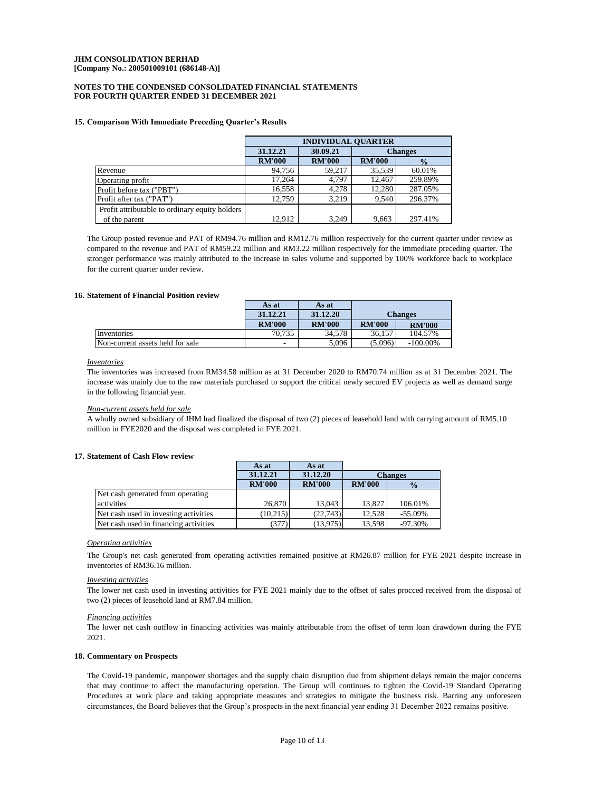#### **FOR FOURTH QUARTER ENDED 31 DECEMBER 2021 NOTES TO THE CONDENSED CONSOLIDATED FINANCIAL STATEMENTS**

#### **15. Comparison With Immediate Preceding Quarter's Results**

|                                                | <b>INDIVIDUAL OUARTER</b> |               |                |               |  |  |
|------------------------------------------------|---------------------------|---------------|----------------|---------------|--|--|
|                                                | 31.12.21                  | 30.09.21      | <b>Changes</b> |               |  |  |
|                                                | <b>RM'000</b>             | <b>RM'000</b> | <b>RM'000</b>  | $\frac{0}{2}$ |  |  |
| Revenue                                        | 94.756                    | 59.217        | 35,539         | 60.01%        |  |  |
| Operating profit                               | 17.264                    | 4.797         | 12.467         | 259.89%       |  |  |
| Profit before tax ("PBT")                      | 16.558                    | 4.278         | 12.280         | 287.05%       |  |  |
| Profit after tax ("PAT")                       | 12.759                    | 3.219         | 9.540          | 296.37%       |  |  |
| Profit attributable to ordinary equity holders |                           |               |                |               |  |  |
| of the parent                                  | 12.912                    | 3.249         | 9.663          | 297.41%       |  |  |

The Group posted revenue and PAT of RM94.76 million and RM12.76 million respectively for the current quarter under review as compared to the revenue and PAT of RM59.22 million and RM3.22 million respectively for the immediate preceding quarter. The stronger performance was mainly attributed to the increase in sales volume and supported by 100% workforce back to workplace for the current quarter under review.

#### **16. Statement of Financial Position review**

|                                  | As at                    | As at         |                |               |
|----------------------------------|--------------------------|---------------|----------------|---------------|
|                                  | 31.12.21                 | 31.12.20      | <b>Changes</b> |               |
|                                  | <b>RM'000</b>            | <b>RM'000</b> | <b>RM'000</b>  | <b>RM'000</b> |
| Inventories                      | 70.735                   | 34.578        | 36.157         | 104.57%       |
| Non-current assets held for sale | $\overline{\phantom{a}}$ | 5.096         | (5.096)        | $-100.00\%$   |

#### *Inventories*

The inventories was increased from RM34.58 million as at 31 December 2020 to RM70.74 million as at 31 December 2021. The increase was mainly due to the raw materials purchased to support the critical newly secured EV projects as well as demand surge in the following financial year.

#### *Non-current assets held for sale*

A wholly owned subsidiary of JHM had finalized the disposal of two (2) pieces of leasehold land with carrying amount of RM5.10 million in FYE2020 and the disposal was completed in FYE 2021.

#### **17. Statement of Cash Flow review**

|                                       | As at         | As at         |                |               |
|---------------------------------------|---------------|---------------|----------------|---------------|
|                                       | 31.12.21      | 31.12.20      | <b>Changes</b> |               |
|                                       | <b>RM'000</b> | <b>RM'000</b> | <b>RM'000</b>  | $\frac{0}{2}$ |
| Net cash generated from operating     |               |               |                |               |
| activities                            | 26,870        | 13.043        | 13.827         | 106.01%       |
| Net cash used in investing activities | (10, 215)     | (22.743)      | 12.528         | $-55.09%$     |
| Net cash used in financing activities | (377)         | (13,975)      | 13.598         | $-97.30%$     |

# *Operating activities*

The Group's net cash generated from operating activities remained positive at RM26.87 million for FYE 2021 despite increase in inventories of RM36.16 million.

#### *Investing activities*

The lower net cash used in investing activities for FYE 2021 mainly due to the offset of sales procced received from the disposal of two (2) pieces of leasehold land at RM7.84 million.

#### *Financing activities*

The lower net cash outflow in financing activities was mainly attributable from the offset of term loan drawdown during the FYE 2021.

#### **18. Commentary on Prospects**

The Covid-19 pandemic, manpower shortages and the supply chain disruption due from shipment delays remain the major concerns that may continue to affect the manufacturing operation. The Group will continues to tighten the Covid-19 Standard Operating Procedures at work place and taking appropriate measures and strategies to mitigate the business risk. Barring any unforeseen circumstances, the Board believes that the Group's prospects in the next financial year ending 31 December 2022 remains positive.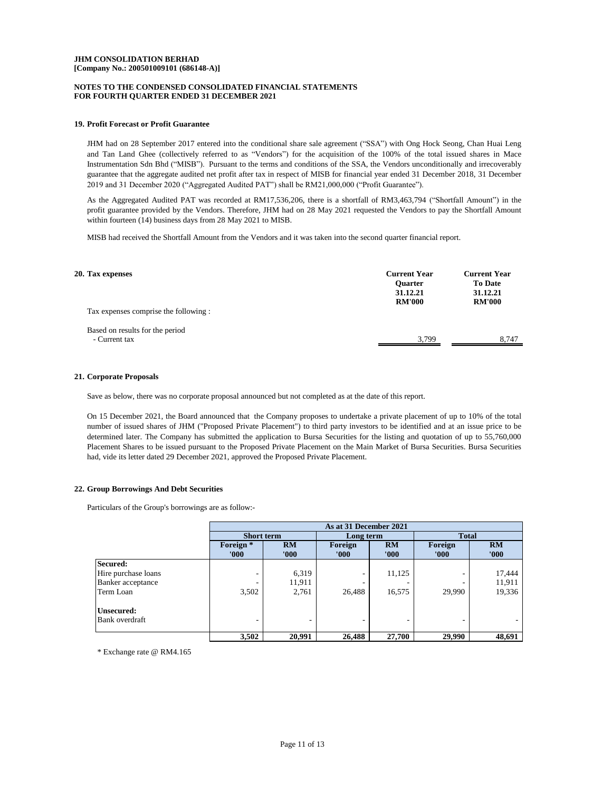## **NOTES TO THE CONDENSED CONSOLIDATED FINANCIAL STATEMENTS FOR FOURTH QUARTER ENDED 31 DECEMBER 2021**

## **19. Profit Forecast or Profit Guarantee**

JHM had on 28 September 2017 entered into the conditional share sale agreement ("SSA") with Ong Hock Seong, Chan Huai Leng and Tan Land Ghee (collectively referred to as "Vendors") for the acquisition of the 100% of the total issued shares in Mace Instrumentation Sdn Bhd ("MISB"). Pursuant to the terms and conditions of the SSA, the Vendors unconditionally and irrecoverably guarantee that the aggregate audited net profit after tax in respect of MISB for financial year ended 31 December 2018, 31 December 2019 and 31 December 2020 ("Aggregated Audited PAT") shall be RM21,000,000 ("Profit Guarantee").

As the Aggregated Audited PAT was recorded at RM17,536,206, there is a shortfall of RM3,463,794 ("Shortfall Amount") in the profit guarantee provided by the Vendors. Therefore, JHM had on 28 May 2021 requested the Vendors to pay the Shortfall Amount within fourteen (14) business days from 28 May 2021 to MISB.

MISB had received the Shortfall Amount from the Vendors and it was taken into the second quarter financial report.

| 20. Tax expenses                                 | <b>Current Year</b><br><b>Ouarter</b><br>31.12.21<br><b>RM'000</b> | <b>Current Year</b><br><b>To Date</b><br>31.12.21<br><b>RM'000</b> |  |
|--------------------------------------------------|--------------------------------------------------------------------|--------------------------------------------------------------------|--|
| Tax expenses comprise the following :            |                                                                    |                                                                    |  |
| Based on results for the period<br>- Current tax | 3.799                                                              | 8.747                                                              |  |

#### **21. Corporate Proposals**

Save as below, there was no corporate proposal announced but not completed as at the date of this report.

On 15 December 2021, the Board announced that the Company proposes to undertake a private placement of up to 10% of the total number of issued shares of JHM ("Proposed Private Placement") to third party investors to be identified and at an issue price to be determined later. The Company has submitted the application to Bursa Securities for the listing and quotation of up to 55,760,000 Placement Shares to be issued pursuant to the Proposed Private Placement on the Main Market of Bursa Securities. Bursa Securities had, vide its letter dated 29 December 2021, approved the Proposed Private Placement.

#### **22. Group Borrowings And Debt Securities**

Particulars of the Group's borrowings are as follow:-

|                     | As at 31 December 2021        |             |                  |                    |                  |             |
|---------------------|-------------------------------|-------------|------------------|--------------------|------------------|-------------|
|                     | <b>Short term</b>             |             | Long term        |                    | <b>Total</b>     |             |
|                     | Foreign <sup>*</sup><br>'000' | RM<br>'000' | Foreign<br>'000' | <b>RM</b><br>'000' | Foreign<br>'000' | RM<br>'000' |
| Secured:            |                               |             |                  |                    |                  |             |
| Hire purchase loans |                               | 6,319       |                  | 11,125             |                  | 17,444      |
| Banker acceptance   |                               | 11,911      |                  |                    |                  | 11,911      |
| Term Loan           | 3,502                         | 2,761       | 26.488           | 16,575             | 29,990           | 19,336      |
| Unsecured:          |                               |             |                  |                    |                  |             |
| Bank overdraft      |                               |             |                  |                    |                  |             |
|                     | 3,502                         | 20,991      | 26,488           | 27,700             | 29,990           | 48,691      |

\* Exchange rate @ RM4.165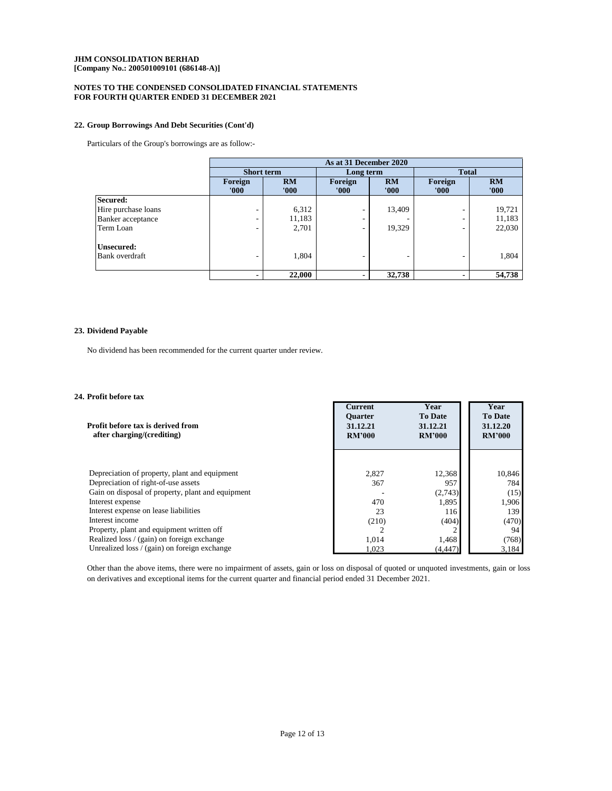# **NOTES TO THE CONDENSED CONSOLIDATED FINANCIAL STATEMENTS FOR FOURTH QUARTER ENDED 31 DECEMBER 2021**

## **22. Group Borrowings And Debt Securities (Cont'd)**

Particulars of the Group's borrowings are as follow:-

|                     | As at 31 December 2020 |             |                  |             |                          |             |
|---------------------|------------------------|-------------|------------------|-------------|--------------------------|-------------|
|                     | <b>Short term</b>      |             | Long term        |             | <b>Total</b>             |             |
|                     | Foreign<br>'000'       | RM<br>'000' | Foreign<br>'000' | RM<br>'000' | Foreign<br>'000'         | RM<br>'000' |
| Secured:            |                        |             |                  |             |                          |             |
| Hire purchase loans | ۰                      | 6,312       | -                | 13,409      | $\overline{\phantom{a}}$ | 19,721      |
| Banker acceptance   | ۰                      | 11,183      | ۰                |             | $\overline{\phantom{a}}$ | 11,183      |
| Term Loan           | ۰                      | 2,701       |                  | 19.329      | -                        | 22,030      |
| Unsecured:          |                        |             |                  |             |                          |             |
| Bank overdraft      | -                      | 1,804       | ۰                |             | -                        | 1,804       |
|                     | $\blacksquare$         | 22,000      |                  | 32,738      | $\blacksquare$           | 54,738      |

# **23. Dividend Payable**

No dividend has been recommended for the current quarter under review.

# **24. Profit before tax**

| Profit before tax is derived from<br>after charging/(crediting) | <b>Current</b><br><b>Ouarter</b><br>31.12.21<br><b>RM'000</b> | Year<br><b>To Date</b><br>31.12.21<br><b>RM'000</b> | Year<br><b>To Date</b><br>31.12.20<br><b>RM'000</b> |
|-----------------------------------------------------------------|---------------------------------------------------------------|-----------------------------------------------------|-----------------------------------------------------|
| Depreciation of property, plant and equipment                   | 2,827                                                         | 12.368                                              | 10,846                                              |
| Depreciation of right-of-use assets                             | 367                                                           | 957                                                 | 784                                                 |
| Gain on disposal of property, plant and equipment               |                                                               | (2,743)                                             | (15)                                                |
| Interest expense                                                | 470                                                           | 1,895                                               | 1,906                                               |
| Interest expense on lease liabilities                           | 23                                                            | 116                                                 | 139                                                 |
| Interest income                                                 | (210)                                                         | (404)                                               | (470)                                               |
| Property, plant and equipment written off                       | 2                                                             |                                                     | 94                                                  |
| Realized loss / (gain) on foreign exchange                      | 1.014                                                         | 1,468                                               | (768)                                               |
| Unrealized loss $/$ (gain) on foreign exchange                  | 1.023                                                         | (4, 447)                                            | 3,184                                               |

Other than the above items, there were no impairment of assets, gain or loss on disposal of quoted or unquoted investments, gain or loss on derivatives and exceptional items for the current quarter and financial period ended 31 December 2021.